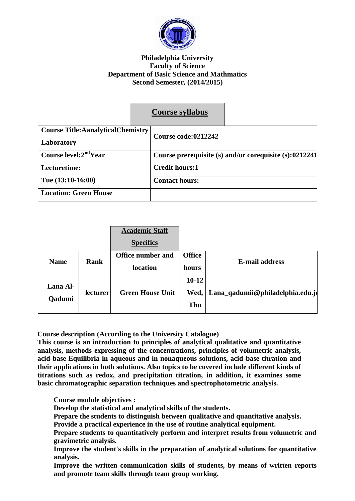

### **Philadelphia University Faculty of Science Department of Basic Science and Mathmatics Second Semester, (2014/2015)**

|                                            | <b>Course syllabus</b>                                 |  |
|--------------------------------------------|--------------------------------------------------------|--|
| <b>Course Title: Aanalytical Chemistry</b> |                                                        |  |
| Laboratory                                 | Course code:0212242                                    |  |
| Course level: $2ndYear$                    | Course prerequisite (s) and/or corequisite (s):0212241 |  |
| Lecturetime:                               | <b>Credit hours:1</b>                                  |  |
| Tue $(13:10-16:00)$                        | <b>Contact hours:</b>                                  |  |
| <b>Location: Green House</b>               |                                                        |  |

|                    |          | <b>Academic Staff</b><br><b>Specifics</b> |                          |                                  |
|--------------------|----------|-------------------------------------------|--------------------------|----------------------------------|
| <b>Name</b>        | Rank     | <b>Office number and</b><br>location      | <b>Office</b><br>hours   | <b>E-mail address</b>            |
| Lana Al-<br>Qadumi | lecturer | <b>Green House Unit</b>                   | $10 - 12$<br>Wed,<br>Thu | Lana_qadumii@philadelphia.edu.jo |

**Course description (According to the University Catalogue)**

**This course is an introduction to principles of analytical qualitative and quantitative analysis, methods expressing of the concentrations, principles of volumetric analysis, acid-base Equilibria in aqueous and in nonaqueous solutions, acid-base titration and their applications in both solutions. Also topics to be covered include different kinds of titrations such as redox, and precipitation titration, in addition, it examines some basic chromatographic separation techniques and spectrophotometric analysis.**

**Course module objectives :**

- **Develop the statistical and analytical skills of the students.**
- **Prepare the students to distinguish between qualitative and quantitative analysis.**
- **Provide a practical experience in the use of routine analytical equipment.**
- **Prepare students to quantitatively perform and interpret results from volumetric and gravimetric analysis.**
- **Improve the student's skills in the preparation of analytical solutions for quantitative analysis.**
- **Improve the written communication skills of students, by means of written reports and promote team skills through team group working.**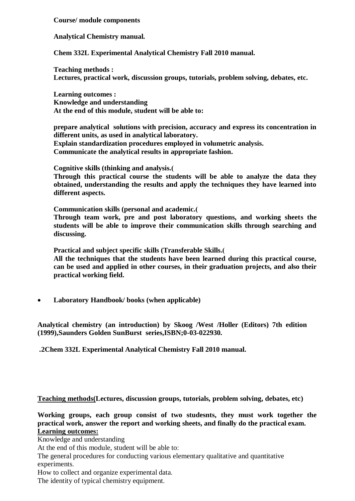**Course/ module components**

**Analytical Chemistry manual.**

**Chem 332L Experimental Analytical Chemistry Fall 2010 manual.**

**Teaching methods : Lectures, practical work, discussion groups, tutorials, problem solving, debates, etc.**

**Learning outcomes : Knowledge and understanding At the end of this module, student will be able to:**

**prepare analytical solutions with precision, accuracy and express its concentration in different units, as used in analytical laboratory.**

**Explain standardization procedures employed in volumetric analysis. Communicate the analytical results in appropriate fashion.**

**Cognitive skills (thinking and analysis.)**

**Through this practical course the students will be able to analyze the data they obtained, understanding the results and apply the techniques they have learned into different aspects.**

**Communication skills (personal and academic.)**

**Through team work, pre and post laboratory questions, and working sheets the students will be able to improve their communication skills through searching and discussing.**

**Practical and subject specific skills (Transferable Skills.)**

**All the techniques that the students have been learned during this practical course, can be used and applied in other courses, in their graduation projects, and also their practical working field.**

**Laboratory Handbook/ books (when applicable)**

**Analytical chemistry (an introduction) by Skoog /West /Holler (Editors) 7th edition (1999),Saunders Golden SunBurst series,ISBN;0-03-022930.**

**.2Chem 332L Experimental Analytical Chemistry Fall 2010 manual.**

**Teaching methods(Lectures, discussion groups, tutorials, problem solving, debates, etc)**

**Working groups, each group consist of two studesnts, they must work together the practical work, answer the report and working sheets, and finally do the practical exam. Learning outcomes:**

Knowledge and understanding

At the end of this module, student will be able to:

The general procedures for conducting various elementary qualitative and quantitative experiments.

How to collect and organize experimental data.

The identity of typical chemistry equipment.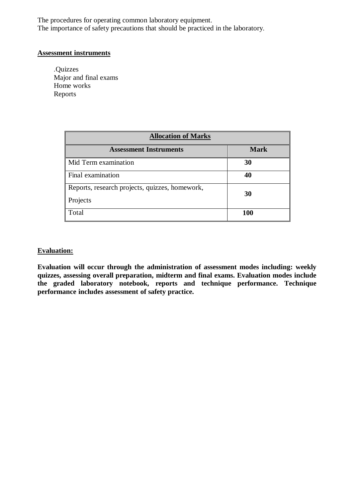The procedures for operating common laboratory equipment. The importance of safety precautions that should be practiced in the laboratory.

#### **Assessment instruments**

.Quizzes Major and final exams Home works Reports

| <b>Allocation of Marks</b>                                 |             |  |  |
|------------------------------------------------------------|-------------|--|--|
| <b>Assessment Instruments</b>                              | <b>Mark</b> |  |  |
| Mid Term examination                                       | 30          |  |  |
| Final examination                                          | 40          |  |  |
| Reports, research projects, quizzes, homework,<br>Projects | 30          |  |  |
| Total                                                      | 100         |  |  |

## **Evaluation:**

**Evaluation will occur through the administration of assessment modes including: weekly quizzes, assessing overall preparation, midterm and final exams. Evaluation modes include the graded laboratory notebook, reports and technique performance. Technique performance includes assessment of safety practice.**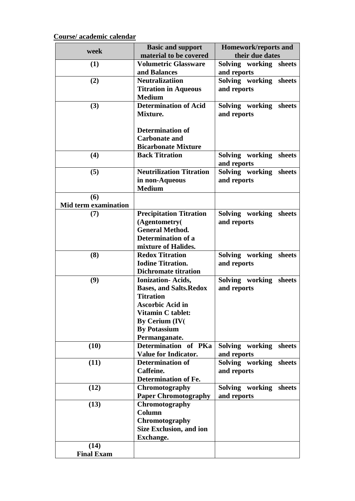# **Course/ academic calendar**

| week                               | <b>Basic and support</b>                                                                                                                                                                       | Homework/reports and                     |  |
|------------------------------------|------------------------------------------------------------------------------------------------------------------------------------------------------------------------------------------------|------------------------------------------|--|
|                                    | material to be covered                                                                                                                                                                         | their due dates                          |  |
| (1)                                | <b>Volumetric Glassware</b><br>and Balances                                                                                                                                                    | Solving working sheets<br>and reports    |  |
| (2)                                | <b>Neutralizatiion</b><br><b>Titration in Aqueous</b><br><b>Medium</b>                                                                                                                         | Solving working sheets<br>and reports    |  |
| (3)                                | <b>Determination of Acid</b><br>Mixture.<br><b>Determination of</b>                                                                                                                            | Solving working sheets<br>and reports    |  |
|                                    | <b>Carbonate and</b><br><b>Bicarbonate Mixture</b>                                                                                                                                             |                                          |  |
| (4)                                | <b>Back Titration</b>                                                                                                                                                                          | Solving working sheets<br>and reports    |  |
| (5)                                | <b>Neutrilization Titration</b><br>in non-Aqueous<br><b>Medium</b>                                                                                                                             | Solving working sheets<br>and reports    |  |
| (6)<br><b>Mid term examination</b> |                                                                                                                                                                                                |                                          |  |
| (7)                                | <b>Precipitation Titration</b><br>(Agentometry(<br><b>General Method.</b><br>Determination of a                                                                                                | Solving working<br>sheets<br>and reports |  |
| (8)                                | mixture of Halides.<br><b>Redox Titration</b><br><b>Iodine Titration.</b><br><b>Dichromate titration</b>                                                                                       | Solving working<br>sheets<br>and reports |  |
| (9)                                | <b>Ionization-Acids,</b><br><b>Bases, and Salts.Redox</b><br><b>Titration</b><br><b>Ascorbic Acid in</b><br><b>Vitamin C tablet:</b><br>By Cerium (IV(<br><b>By Potassium</b><br>Permanganate. | Solving working<br>sheets<br>and reports |  |
| (10)                               | Determination of PKa<br><b>Value for Indicator.</b>                                                                                                                                            | Solving working<br>sheets<br>and reports |  |
| (11)                               | <b>Determination of</b><br>Caffeine.<br><b>Determination of Fe.</b>                                                                                                                            | Solving working sheets<br>and reports    |  |
| (12)                               | Chromotography<br><b>Paper Chromotography</b>                                                                                                                                                  | Solving working sheets<br>and reports    |  |
| (13)<br>(14)                       | Chromotography<br>Column<br>Chromotography<br><b>Size Exclusion, and ion</b><br><b>Exchange.</b>                                                                                               |                                          |  |
| <b>Final Exam</b>                  |                                                                                                                                                                                                |                                          |  |